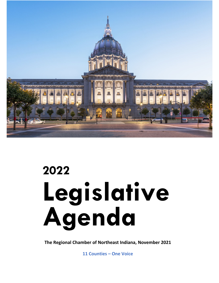

# **2022 Legislative Agenda**

**The Regional Chamber of Northeast Indiana, November 2021**

**11 Counties – One Voice**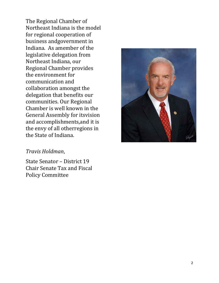The Regional Chamber of Northeast Indiana is the model for regional cooperation of business andgovernment in Indiana. As amember of the legislative delegation from Northeast Indiana, our Regional Chamber provides the environment for communication and collaboration amongst the delegation that benefits our communities. Our Regional Chamber is well known in the General Assembly for itsvision and accomplishments,and it is the envy of all otherregions in the State of Indiana.

#### *Travis Holdman*,

State Senator – District 19 Chair Senate Tax and Fiscal Policy Committee

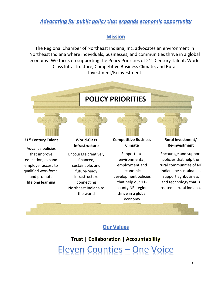## *Advocating for public policy that expands economic opportunity*

#### **Mission**

The Regional Chamber of Northeast Indiana, Inc. advocates an environment in Northeast Indiana where individuals, businesses, and communities thrive in a global economy. We focus on supporting the Policy Priorities of 21<sup>st</sup> Century Talent, World Class Infrastructure, Competitive Business Climate, and Rural Investment/Reinvestment



### **Our Values**

**Trust | Collaboration | Accountability** Eleven Counties – One Voice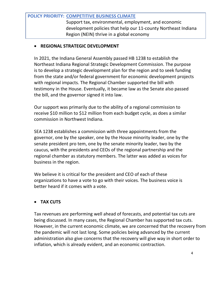#### **POLICY PRIORITY: COMPETITIVE BUSINESS CLIMATE**

Support tax, environmental, employment, and economic development policies that help our 11-county Northeast Indiana Region (NEIN) thrive in a global economy

#### • **REGIONAL STRATEGIC DEVELOPMENT**

In 2021, the Indiana General Assembly passed HB 1238 to establish the Northeast Indiana Regional Strategic Development Commission. The purpose is to develop a strategic development plan for the region and to seek funding from the state and/or federal government for economic development projects with regional impacts. The Regional Chamber supported the bill with testimony in the House. Eventually, it became law as the Senate also passed the bill, and the governor signed it into law.

Our support was primarily due to the ability of a regional commission to receive \$10 million to \$12 million from each budget cycle, as does a similar commission in Northwest Indiana.

SEA 1238 establishes a commission with three appointments from the governor, one by the speaker, one by the House minority leader, one by the senate president pro tem, one by the senate minority leader, two by the caucus, with the presidents and CEOs of the regional partnership and the regional chamber as statutory members. The latter was added as voices for business in the region.

We believe it is critical for the president and CEO of each of these organizations to have a vote to go with their voices. The business voice is better heard if it comes with a vote.

#### • **TAX CUTS**

Tax revenues are performing well ahead of forecasts, and potential tax cuts are being discussed. In many cases, the Regional Chamber has supported tax cuts. However, in the current economic climate, we are concerned that the recovery from the pandemic will not last long. Some policies being advanced by the current administration also give concerns that the recovery will give way in short order to inflation, which is already evident, and an economic contraction.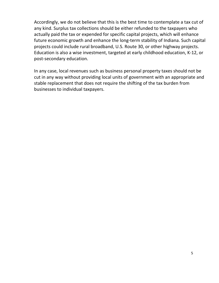Accordingly, we do not believe that this is the best time to contemplate a tax cut of any kind. Surplus tax collections should be either refunded to the taxpayers who actually paid the tax or expended for specific capital projects, which will enhance future economic growth and enhance the long-term stability of Indiana. Such capital projects could include rural broadband, U.S. Route 30, or other highway projects. Education is also a wise investment, targeted at early childhood education, K-12, or post-secondary education.

In any case, local revenues such as business personal property taxes should not be cut in any way without providing local units of government with an appropriate and stable replacement that does not require the shifting of the tax burden from businesses to individual taxpayers.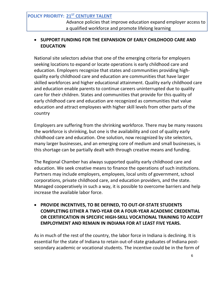#### **POLICY PRIORITY: 21ST CENTURY TALENT**

Advance policies that improve education expand employer access to a qualified workforce and promote lifelong learning

#### • **SUPPORT FUNDING FOR THE EXPANSION OF EARLY CHILDHOOD CARE AND EDUCATION**

National site selectors advise that one of the emerging criteria for employers seeking locations to expand or locate operations is early childhood care and education. Employers recognize that states and communities providing highquality early childhood care and education are communities that have larger skilled workforces and higher educational attainment. Quality early childhood care and education enable parents to continue careers uninterrupted due to quality care for their children. States and communities that provide for this quality of early childhood care and education are recognized as communities that value education and attract employees with higher skill levels from other parts of the country

Employers are suffering from the shrinking workforce. There may be many reasons the workforce is shrinking, but one is the availability and cost of quality early childhood care and education. One solution, now recognized by site selectors, many larger businesses, and an emerging core of medium and small businesses, is this shortage can be partially dealt with through creative means and funding.

The Regional Chamber has always supported quality early childhood care and education. We seek creative means to finance the operations of such institutions. Partners may include employers, employees, local units of government, school corporations, private childhood care, and education providers, and the state. Managed cooperatively in such a way, it is possible to overcome barriers and help increase the available labor force.

#### • **PROVIDE INCENTIVES, TO BE DEFINED, TO OUT-OF-STATE STUDENTS COMPLETING EITHER A TWO-YEAR OR A FOUR-YEAR ACADEMIC CREDENTIAL OR CERTIFICATION IN SPECIFIC HIGH-SKILL VOCATIONAL TRAINING TO ACCEPT EMPLOYMENT AND REMAIN IN INDIANA FOR AT LEAST FIVE YEARS.**

As in much of the rest of the country, the labor force in Indiana is declining. It is essential for the state of Indiana to retain out-of-state graduates of Indiana postsecondary academic or vocational students. The incentive could be in the form of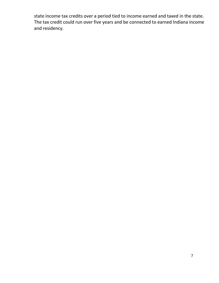state income tax credits over a period tied to income earned and taxed in the state. The tax credit could run over five years and be connected to earned Indiana income and residency.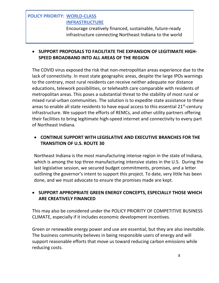#### **POLICY PRIORITY: WORLD-CLASS INFRASTRUCTURE**

Encourage creatively financed, sustainable, future-ready infrastructure connecting Northeast Indiana to the world

#### • **SUPPORT PROPOSALS TO FACILITATE THE EXPANSION OF LEGITIMATE HIGH-SPEED BROADBAND INTO ALL AREAS OF THE REGION**

The COVID virus exposed the risk that non-metropolitan areas experience due to the lack of connectivity. In most state geographic areas, despite the large IPOs warnings to the contrary, most rural residents can receive neither adequate nor distance educations, telework possibilities, or telehealth care comparable with residents of metropolitan areas. This poses a substantial threat to the stability of most rural or mixed rural-urban communities. The solution is to expedite state assistance to these areas to enable all state residents to have equal access to this essential  $21^{st}$ -century infrastructure. We support the efforts of REMCs, and other utility partners offering their facilities to bring legitimate high-speed internet and connectivity to every part of Northeast Indiana.

#### • **CONTINUE SUPPORT WITH LEGISLATIVE AND EXECUTIVE BRANCHES FOR THE TRANSITION OF U.S. ROUTE 30**

Northeast Indiana is the most manufacturing intense region in the state of Indiana, which is among the top three manufacturing intensive states in the U.S. During the last legislative session, we secured budget commitments, promises, and a letter outlining the governor's intent to support this project. To date, very little has been done, and we must advocate to ensure the promises made are kept.

#### • **SUPPORT APPROPRIATE GREEN ENERGY CONCEPTS, ESPECIALLY THOSE WHICH ARE CREATIVELY FINANCED**

This may also be considered under the POLICY PRIORITY OF COMPETITIVE BUSINESS CLIMATE, especially if it includes economic development incentives.

Green or renewable energy power and use are essential, but they are also inevitable. The business community believes in being responsible users of energy and will support reasonable efforts that move us toward reducing carbon emissions while reducing costs.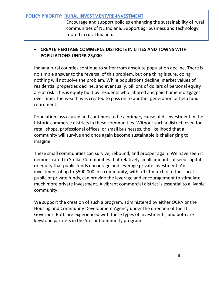#### **POLICY PRIORITY: RURAL INVESTMENT/RE-INVESTMENT**

Encourage and support policies enhancing the sustainability of rural communities of NE Indiana. Support agribusiness and technology rooted in rural Indiana.

#### • **CREATE HERITAGE COMMERCE DISTRICTS IN CITIES AND TOWNS WITH POPULATIONS UNDER 25,000**

Indiana rural counties continue to suffer from absolute population decline. There is no simple answer to the reversal of this problem, but one thing is sure, doing nothing will not solve the problem. While populations decline, market values of residential properties decline, and eventually, billions of dollars of personal equity are at risk. This is equity built by residents who labored and paid home mortgages over time. The wealth was created to pass on to another generation or help fund retirement.

Population loss caused and continues to be a primary cause of disinvestment in the historic commerce districts in these communities. Without such a district, even for retail shops, professional offices, or small businesses, the likelihood that a community will survive and once again become sustainable is challenging to imagine.

These small communities can survive, rebound, and prosper again. We have seen it demonstrated in Stellar Communities that relatively small amounts of seed capital or equity that public funds encourage and leverage private investment. An investment of up to \$500,000 in a community, with a 1: 1 match of either local public or private funds, can provide the leverage and encouragement to stimulate much more private investment. A vibrant commercial district is essential to a livable community.

We support the creation of such a program, administered by either OCRA or the Housing and Community Development Agency under the direction of the Lt. Governor. Both are experienced with these types of investments, and both are keystone partners in the Stellar Community program.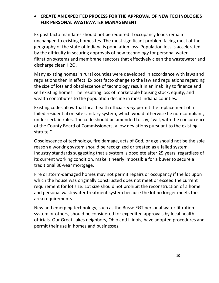#### • **CREATE AN EXPEDITED PROCESS FOR THE APPROVAL OF NEW TECHNOLOGIES FOR PERSONAL WASTEWATER MANAGEMENT**

Ex post facto mandates should not be required if occupancy loads remain unchanged to existing homesites. The most significant problem facing most of the geography of the state of Indiana is population loss. Population loss is accelerated by the difficulty in securing approvals of new technology for personal water filtration systems and membrane reactors that effectively clean the wastewater and discharge clean H2O.

Many existing homes in rural counties were developed in accordance with laws and regulations then in effect. Ex post facto change to the law and regulations regarding the size of lots and obsolescence of technology result in an inability to finance and sell existing homes. The resulting loss of marketable housing stock, equity, and wealth contributes to the population decline in most Indiana counties.

Existing codes allow that local health officials *may* permit the replacement of a failed residential on-site sanitary system, which would otherwise be non-compliant, under certain rules. The code should be amended to say, "will, with the concurrence of the County Board of Commissioners, allow deviations pursuant to the existing statute."

Obsolescence of technology, fire damage, acts of God, or age should not be the sole reason a working system should be recognized or treated as a failed system. Industry standards suggesting that a system is obsolete after 25 years, regardless of its current working condition, make it nearly impossible for a buyer to secure a traditional 30-year mortgage.

Fire or storm-damaged homes may not permit repairs or occupancy if the lot upon which the house was originally constructed does not meet or exceed the current requirement for lot size. Lot size should not prohibit the reconstruction of a home and personal wastewater treatment system because the lot no longer meets the area requirements.

New and emerging technology, such as the Busse EGT personal water filtration system or others, should be considered for expedited approvals by local health officials. Our Great Lakes neighbors, Ohio and Illinois, have adopted procedures and permit their use in homes and businesses.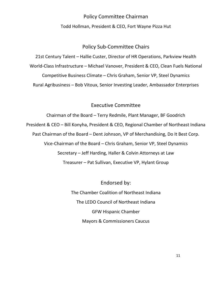## Policy Committee Chairman Todd Hollman, President & CEO, Fort Wayne Pizza Hut

#### Policy Sub-Committee Chairs

21st Century Talent – Hallie Custer, Director of HR Operations, Parkview Health World-Class Infrastructure – Michael Vanover, President & CEO, Clean Fuels National Competitive Business Climate – Chris Graham, Senior VP, Steel Dynamics Rural Agribusiness – Bob Vitoux, Senior Investing Leader, Ambassador Enterprises

#### Executive Committee

Chairman of the Board – Terry Redmile, Plant Manager, BF Goodrich President & CEO – Bill Konyha, President & CEO, Regional Chamber of Northeast Indiana Past Chairman of the Board – Dent Johnson, VP of Merchandising, Do It Best Corp. Vice-Chairman of the Board – Chris Graham, Senior VP, Steel Dynamics Secretary – Jeff Harding, Haller & Colvin Attorneys at Law Treasurer – Pat Sullivan, Executive VP, Hylant Group

> Endorsed by: The Chamber Coalition of Northeast Indiana The LEDO Council of Northeast Indiana GFW Hispanic Chamber Mayors & Commissioners Caucus

> > 11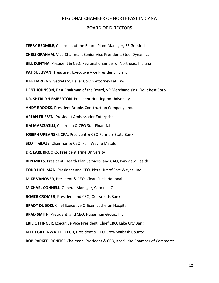#### REGIONAL CHAMBER OF NORTHEAST INDIANA

#### BOARD OF DIRECTORS

**TERRY REDMILE**, Chairman of the Board, Plant Manager, BF Goodrich **CHRIS GRAHAM**, Vice-Chairman, Senior Vice President, Steel Dynamics **BILL KONYHA**, President & CEO, Regional Chamber of Northeast Indiana **PAT SULLIVAN**, Treasurer, Executive Vice President Hylant **JEFF HARDING**, Secretary, Haller Colvin Attorneys at Law **DENT JOHNSON**, Past Chairman of the Board, VP Merchandising, Do It Best Corp **DR. SHERILYN EMBERTON**, President Huntington University **ANDY BROOKS**, President Brooks Construction Company, Inc. **ARLAN FRIESEN**, President Ambassador Enterprises **JIM MARCUCILLI**, Chairman & CEO Star Financial **JOSEPH URBANSKI**, CPA, President & CEO Farmers State Bank **SCOTT GLAZE**, Chairman & CEO, Fort Wayne Metals **DR. EARL BROOKS**, President Trine University **BEN MILES**, President, Health Plan Services, and CAO, Parkview Health **TODD HOLLMAN**, President and CEO, Pizza Hut of Fort Wayne, Inc **MIKE VANOVER**, President & CEO, Clean Fuels National **MICHAEL CONNELL**, General Manager, Cardinal IG **ROGER CROMER**, President and CEO, Crossroads Bank **BRADY DUBOIS**, Chief Executive Officer, Lutheran Hospital **BRAD SMITH**, President, and CEO, Hagerman Group, Inc. **ERIC OTTINGER**, Executive Vice President, Chief CBO, Lake City Bank **KEITH GILLENWATER**, CECD, President & CEO Grow Wabash County **ROB PARKER**, RCNEICC Chairman, President & CEO, Kosciusko Chamber of Commerce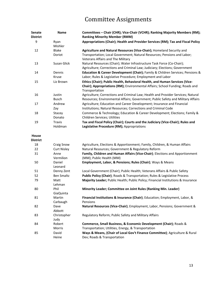# Committee Assignments

| <b>Senate</b><br><b>District</b> | <b>Name</b>                | Committees - Chair (CHR); Vice-Chair (VCHR); Ranking Majority Members (RM);<br><b>Ranking Minority Member (RMM)</b>                                                            |
|----------------------------------|----------------------------|--------------------------------------------------------------------------------------------------------------------------------------------------------------------------------|
| 9                                | Ryan<br>Mishler            | Appropriations (Chair); Health and Provider Services (RM); Tax and Fiscal Policy                                                                                               |
| 12                               | <b>Blake</b>               | Agriculture and Natural Resources (Vice-Chair); Homeland Security and                                                                                                          |
|                                  | Doriot                     | Transportation; Local Government; Natural Resources; Pensions and Labor;<br>Veterans Affairs and The Military                                                                  |
| 13                               | Susan Glick                | Natural Resources (Chair); Water Infrastructure Task Force (Co-Chair);<br>Agriculture; Corrections and Criminal Law; Judiciary; Elections; Government                          |
| 14                               | Dennis<br>Kruse            | Education & Career Development (Chair); Family & Children Services; Pensions &<br>Labor; Rules & Legislative Procedure; Employment and Labor                                   |
| 15                               | Liz Brown                  | Ethics (Chair); Public Health, Behavioral Health, and Human Services (Vice-<br>Chair); Appropriations (RM); Environmental Affairs; School Funding; Roads and<br>Transportation |
| 16                               | Justin<br><b>Busch</b>     | Agriculture; Corrections and Criminal Law; Health and Provider Services; Natural<br>Resources; Environmental Affairs; Government; Public Safety and Military Affairs           |
| 17                               | Andrew<br>Zay              | Agriculture; Education and Career Development; Insurance and Financial<br>Institutions; Natural Resources; Corrections and Criminal Code                                       |
| 18                               | Stacey<br>Donato           | Commerce & Technology; Education & Career Development; Elections; Family &<br>Children Services; Utilities                                                                     |
| 19                               | <b>Travis</b><br>Holdman   | Tax and Fiscal Policy (Chair); Courts and the Judiciary (Vice-Chair); Rules and<br>Legislative Procedure (RM); Appropriations                                                  |
| House                            |                            |                                                                                                                                                                                |
| <b>District</b>                  |                            |                                                                                                                                                                                |
| 18<br>22                         | <b>Craig Snow</b>          | Agriculture, Elections & Apportionment; Family, Children, & Human Affairs                                                                                                      |
| 31                               | <b>Curt Nisley</b><br>Anne | Natural Resources; Government & Regulatory Reform<br>Family, Children and Human Affairs (Vice-Chair); Elections and Apportionment                                              |
|                                  | Vermilion                  | (MM); Public Health (MM)                                                                                                                                                       |
| 50                               | Daniel<br>Leonard          | Employment, Labor, & Pensions; Rules (Chair); Ways & Means                                                                                                                     |
| 51                               | Denny Zent                 | Local Government (Chair); Public Health; Veterans Affairs & Public Safety                                                                                                      |
| 52                               | <b>Ben Smaltz</b>          | Public Policy (Chair); Roads & Transportation; Rules & Legislative Process                                                                                                     |
| 79                               | Matt<br>Lehman             | Majority Leader; Public Health; Public Policy; Financial Institutions & Insurance                                                                                              |
| 80                               | Phil<br>GiaQuinta          | Minority Leader; Committee on Joint Rules (Ranking Min. Leader)                                                                                                                |
| 81                               | Martin<br>Carbaugh         | Financial Institutions & Insurance (Chair); Education; Employment, Labor, &<br>Pensions                                                                                        |
| 82                               | Dave<br>Abbott             | Natural Resources (Vice-Chair); Employment, Labor, Pensions; Government &                                                                                                      |
| 83                               | Christopher<br>Judy        | Regulatory Reform; Public Safety and Military Affairs                                                                                                                          |
| 84                               | Robert<br>Morris           | Commerce, Small Business, & Economic Development (Chair); Roads &<br>Transportation; Utilities, Energy, & Transportation                                                       |
| 85                               | David<br>Heine             | Ways & Means, (Chair of Local Gov't Finance Committee); Agriculture & Rural<br>Dev; Roads & Transportation                                                                     |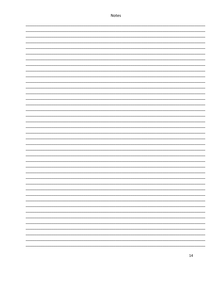| - |  |
|---|--|
|   |  |
|   |  |
|   |  |
|   |  |
|   |  |
|   |  |
|   |  |
|   |  |
|   |  |
|   |  |
|   |  |
|   |  |
|   |  |
|   |  |
|   |  |
|   |  |
|   |  |
|   |  |
|   |  |
|   |  |
|   |  |
|   |  |
|   |  |
|   |  |
|   |  |
|   |  |
|   |  |
|   |  |
|   |  |
|   |  |
|   |  |
|   |  |
|   |  |
|   |  |
|   |  |
|   |  |
|   |  |
|   |  |
|   |  |